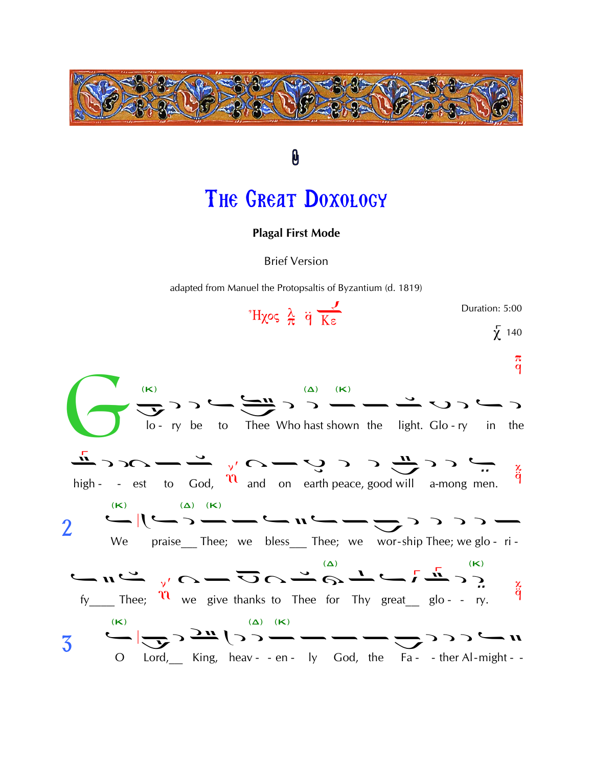

## THE GREAT DOXOLOGY

0

## **Plagal First Mode**

**Brief Version** 

adapted from Manuel the Protopsaltis of Byzantium (d. 1819)

 $H\chi$ ος λ q κε Duration: 5:00  $\overline{\chi}$  140  $\pi$  $\mathbf{q}$  $\frac{d^{(k)}}{d^{(k)}}$ <br>  $\frac{d^{(k)}}{d^{(k)}}$ <br>  $\frac{d^{(k)}}{d^{(k)}}$ <br>  $\frac{d^{(k)}}{d^{(k)}}$ <br>  $\frac{d^{(k)}}{d^{(k)}}$ <br>  $\frac{d^{(k)}}{d^{(k)}}$ <br>  $\frac{d^{(k)}}{d^{(k)}}$ <br>  $\frac{d^{(k)}}{d^{(k)}}$ <br>  $\frac{d^{(k)}}{d^{(k)}}$ <br>  $\frac{d^{(k)}}{d^{(k)}}$ <br>  $\frac{d^{(k)}}{d^{(k)}}$ <br>  $\frac{d^{(k)}}{d^{(k)}}$ <br>  $\frac{d$ ミハーニックーンックーン χ high - - est to God,  $\mathcal{U}$  and on earth peace, good will a-mong men. q  $\overline{2}$ We praise Thee; we bless Thee; we wor-ship Thee; we glo-ri-Ķ.  $f_y$  Thee;  $\overline{u}$  we give thanks to Thee for Thy great glo-- ry. ä  $\sum_{\left(\mathsf{K}\right)}\sum_{\left(\mathsf{K}\right)}\sum_{\mathsf{S}}\mathbf{H}\left(\mathsf{S}\right)=\sum_{\left(\mathsf{K}\right)}\sum_{\left(\mathsf{K}\right)}\sum_{\mathsf{S}}\mathbf{H}\left(\mathsf{S}\right)=\sum_{\mathsf{S}}\sum_{\mathsf{S}}\mathbf{H}\left(\mathsf{S}\right)$  $\overline{3}$ O Lord, King, heav- - en - ly God, the Fa- - ther Al-might - -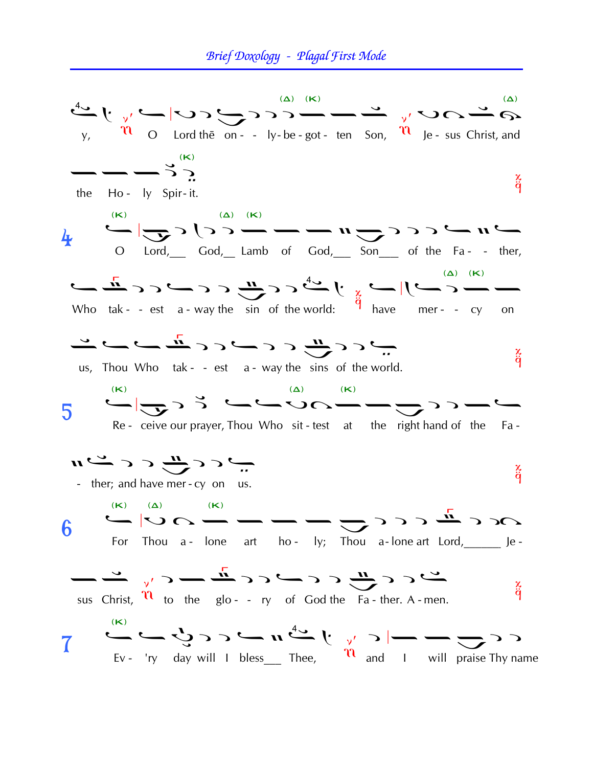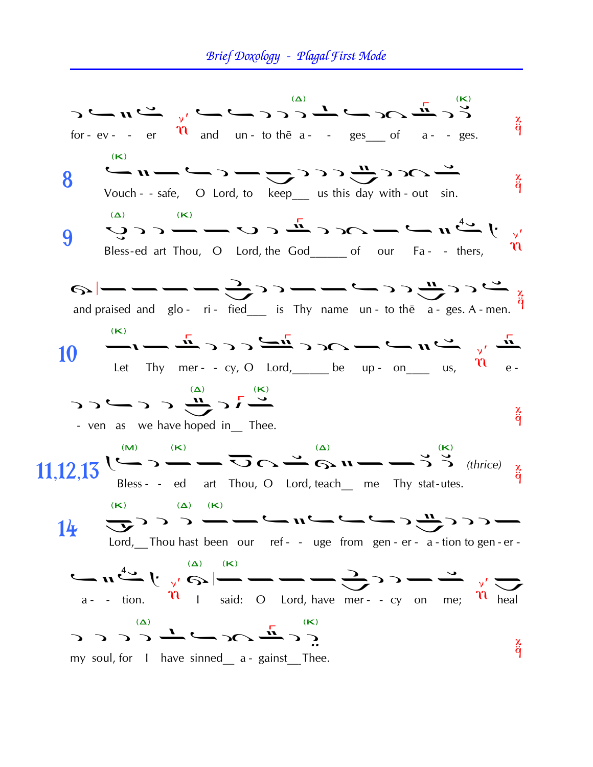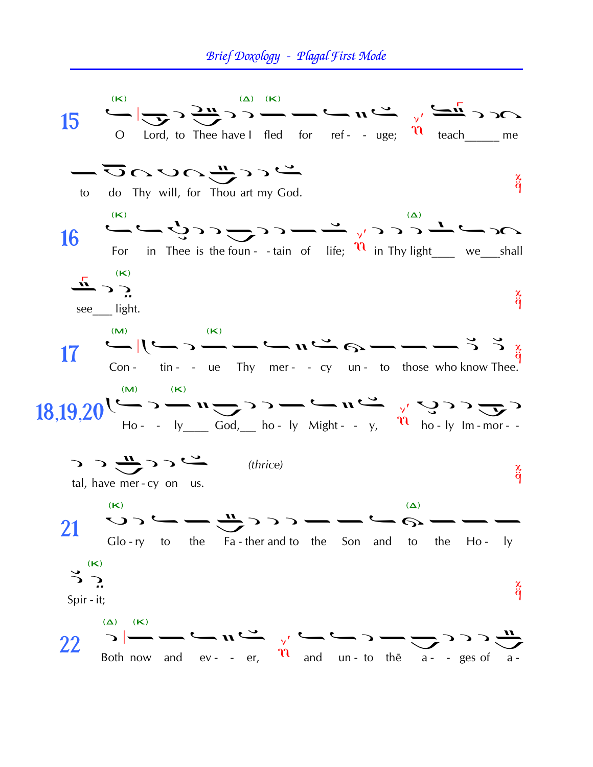## Brief Doxology - Plagal First Mode